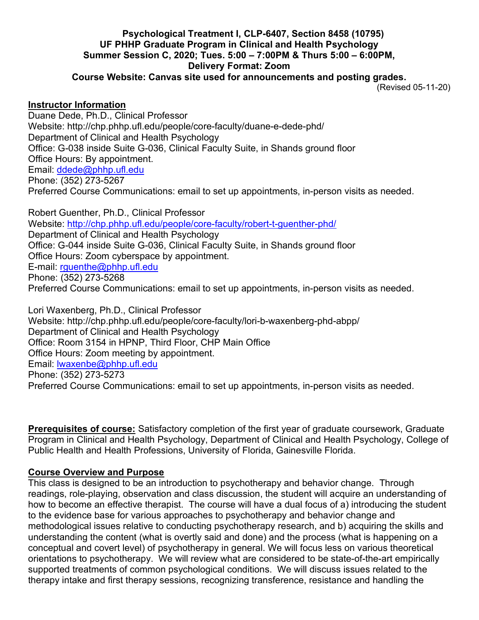## Psychological Treatment I, CLP-6407, Section 8458 (10795) UF PHHP Graduate Program in Clinical and Health Psychology Summer Session C, 2020; Tues. 5:00 – 7:00PM & Thurs 5:00 – 6:00PM, Delivery Format: Zoom

Course Website: Canvas site used for announcements and posting grades.

(Revised 05-11-20)

#### Instructor Information

Duane Dede, Ph.D., Clinical Professor Website: http://chp.phhp.ufl.edu/people/core-faculty/duane-e-dede-phd/ Department of Clinical and Health Psychology Office: G-038 inside Suite G-036, Clinical Faculty Suite, in Shands ground floor Office Hours: By appointment. Email: ddede@phhp.ufl.edu Phone: (352) 273-5267 Preferred Course Communications: email to set up appointments, in-person visits as needed.

Robert Guenther, Ph.D., Clinical Professor Website: http://chp.phhp.ufl.edu/people/core-faculty/robert-t-guenther-phd/ Department of Clinical and Health Psychology Office: G-044 inside Suite G-036, Clinical Faculty Suite, in Shands ground floor Office Hours: Zoom cyberspace by appointment. E-mail: rguenthe@phhp.ufl.edu Phone: (352) 273-5268 Preferred Course Communications: email to set up appointments, in-person visits as needed.

Lori Waxenberg, Ph.D., Clinical Professor Website: http://chp.phhp.ufl.edu/people/core-faculty/lori-b-waxenberg-phd-abpp/ Department of Clinical and Health Psychology Office: Room 3154 in HPNP, Third Floor, CHP Main Office Office Hours: Zoom meeting by appointment. Email: lwaxenbe@phhp.ufl.edu Phone: (352) 273-5273 Preferred Course Communications: email to set up appointments, in-person visits as needed.

Prerequisites of course: Satisfactory completion of the first year of graduate coursework, Graduate Program in Clinical and Health Psychology, Department of Clinical and Health Psychology, College of Public Health and Health Professions, University of Florida, Gainesville Florida.

#### Course Overview and Purpose

This class is designed to be an introduction to psychotherapy and behavior change. Through readings, role-playing, observation and class discussion, the student will acquire an understanding of how to become an effective therapist. The course will have a dual focus of a) introducing the student to the evidence base for various approaches to psychotherapy and behavior change and methodological issues relative to conducting psychotherapy research, and b) acquiring the skills and understanding the content (what is overtly said and done) and the process (what is happening on a conceptual and covert level) of psychotherapy in general. We will focus less on various theoretical orientations to psychotherapy. We will review what are considered to be state-of-the-art empirically supported treatments of common psychological conditions. We will discuss issues related to the therapy intake and first therapy sessions, recognizing transference, resistance and handling the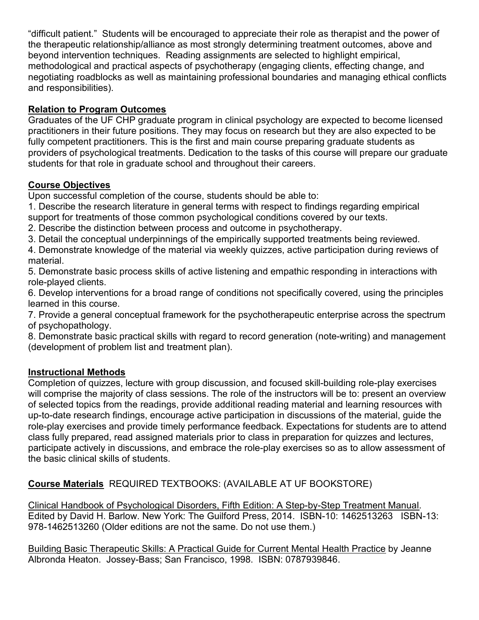"difficult patient." Students will be encouraged to appreciate their role as therapist and the power of the therapeutic relationship/alliance as most strongly determining treatment outcomes, above and beyond intervention techniques. Reading assignments are selected to highlight empirical, methodological and practical aspects of psychotherapy (engaging clients, effecting change, and negotiating roadblocks as well as maintaining professional boundaries and managing ethical conflicts and responsibilities).

## Relation to Program Outcomes

Graduates of the UF CHP graduate program in clinical psychology are expected to become licensed practitioners in their future positions. They may focus on research but they are also expected to be fully competent practitioners. This is the first and main course preparing graduate students as providers of psychological treatments. Dedication to the tasks of this course will prepare our graduate students for that role in graduate school and throughout their careers.

## Course Objectives

Upon successful completion of the course, students should be able to:

1. Describe the research literature in general terms with respect to findings regarding empirical

support for treatments of those common psychological conditions covered by our texts.

2. Describe the distinction between process and outcome in psychotherapy.

3. Detail the conceptual underpinnings of the empirically supported treatments being reviewed.

4. Demonstrate knowledge of the material via weekly quizzes, active participation during reviews of material.

5. Demonstrate basic process skills of active listening and empathic responding in interactions with role-played clients.

6. Develop interventions for a broad range of conditions not specifically covered, using the principles learned in this course.

7. Provide a general conceptual framework for the psychotherapeutic enterprise across the spectrum of psychopathology.

8. Demonstrate basic practical skills with regard to record generation (note-writing) and management (development of problem list and treatment plan).

## Instructional Methods

Completion of quizzes, lecture with group discussion, and focused skill-building role-play exercises will comprise the majority of class sessions. The role of the instructors will be to: present an overview of selected topics from the readings, provide additional reading material and learning resources with up-to-date research findings, encourage active participation in discussions of the material, guide the role-play exercises and provide timely performance feedback. Expectations for students are to attend class fully prepared, read assigned materials prior to class in preparation for quizzes and lectures, participate actively in discussions, and embrace the role-play exercises so as to allow assessment of the basic clinical skills of students.

Course Materials REQUIRED TEXTBOOKS: (AVAILABLE AT UF BOOKSTORE)

Clinical Handbook of Psychological Disorders, Fifth Edition: A Step-by-Step Treatment Manual. Edited by David H. Barlow. New York: The Guilford Press, 2014. ISBN-10: 1462513263 ISBN-13: 978-1462513260 (Older editions are not the same. Do not use them.)

Building Basic Therapeutic Skills: A Practical Guide for Current Mental Health Practice by Jeanne Albronda Heaton. Jossey-Bass; San Francisco, 1998. ISBN: 0787939846.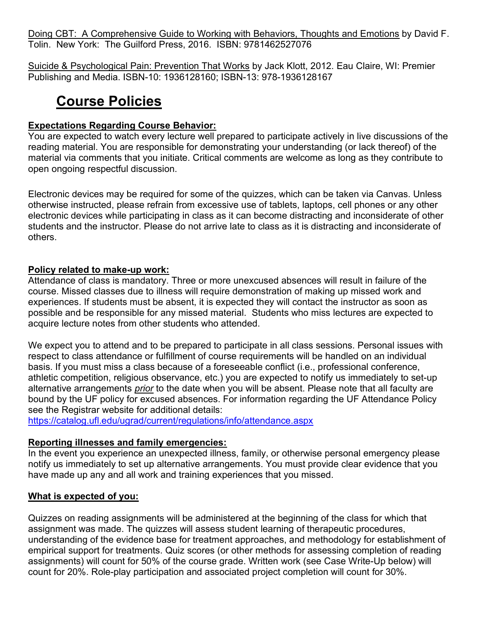Doing CBT: A Comprehensive Guide to Working with Behaviors, Thoughts and Emotions by David F. Tolin. New York: The Guilford Press, 2016. ISBN: 9781462527076

Suicide & Psychological Pain: Prevention That Works by Jack Klott, 2012. Eau Claire, WI: Premier Publishing and Media. ISBN-10: 1936128160; ISBN-13: 978-1936128167

# Course Policies

## Expectations Regarding Course Behavior:

You are expected to watch every lecture well prepared to participate actively in live discussions of the reading material. You are responsible for demonstrating your understanding (or lack thereof) of the material via comments that you initiate. Critical comments are welcome as long as they contribute to open ongoing respectful discussion.

Electronic devices may be required for some of the quizzes, which can be taken via Canvas. Unless otherwise instructed, please refrain from excessive use of tablets, laptops, cell phones or any other electronic devices while participating in class as it can become distracting and inconsiderate of other students and the instructor. Please do not arrive late to class as it is distracting and inconsiderate of others.

#### Policy related to make-up work:

Attendance of class is mandatory. Three or more unexcused absences will result in failure of the course. Missed classes due to illness will require demonstration of making up missed work and experiences. If students must be absent, it is expected they will contact the instructor as soon as possible and be responsible for any missed material. Students who miss lectures are expected to acquire lecture notes from other students who attended.

We expect you to attend and to be prepared to participate in all class sessions. Personal issues with respect to class attendance or fulfillment of course requirements will be handled on an individual basis. If you must miss a class because of a foreseeable conflict (i.e., professional conference, athletic competition, religious observance, etc.) you are expected to notify us immediately to set-up alternative arrangements prior to the date when you will be absent. Please note that all faculty are bound by the UF policy for excused absences. For information regarding the UF Attendance Policy see the Registrar website for additional details:

https://catalog.ufl.edu/ugrad/current/regulations/info/attendance.aspx

## Reporting illnesses and family emergencies:

In the event you experience an unexpected illness, family, or otherwise personal emergency please notify us immediately to set up alternative arrangements. You must provide clear evidence that you have made up any and all work and training experiences that you missed.

## What is expected of you:

Quizzes on reading assignments will be administered at the beginning of the class for which that assignment was made. The quizzes will assess student learning of therapeutic procedures, understanding of the evidence base for treatment approaches, and methodology for establishment of empirical support for treatments. Quiz scores (or other methods for assessing completion of reading assignments) will count for 50% of the course grade. Written work (see Case Write-Up below) will count for 20%. Role-play participation and associated project completion will count for 30%.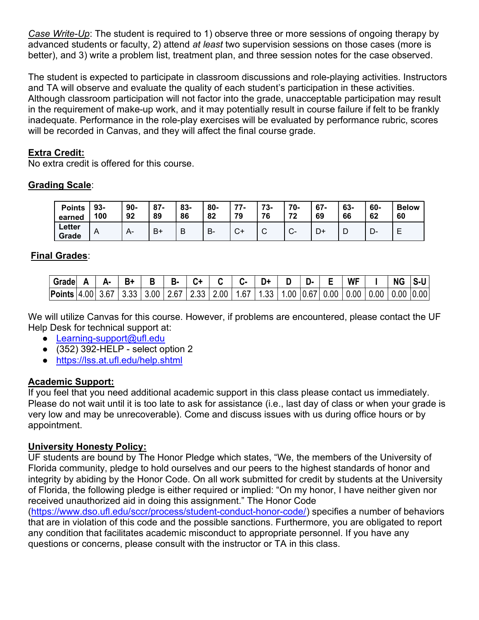Case Write-Up: The student is required to 1) observe three or more sessions of ongoing therapy by advanced students or faculty, 2) attend at least two supervision sessions on those cases (more is better), and 3) write a problem list, treatment plan, and three session notes for the case observed.

The student is expected to participate in classroom discussions and role-playing activities. Instructors and TA will observe and evaluate the quality of each student's participation in these activities. Although classroom participation will not factor into the grade, unacceptable participation may result in the requirement of make-up work, and it may potentially result in course failure if felt to be frankly inadequate. Performance in the role-play exercises will be evaluated by performance rubric, scores will be recorded in Canvas, and they will affect the final course grade.

## Extra Credit:

No extra credit is offered for this course.

## Grading Scale:

| <b>Points</b>   | 93- | $90-$ | $87 -$ | $83 -$ | 80- | 77           | 73- | 70-           | $67 -$ | 63- | 60-     | <b>Below</b> |
|-----------------|-----|-------|--------|--------|-----|--------------|-----|---------------|--------|-----|---------|--------------|
| earned          | 100 | 92    | 89     | 86     | 82  | 79           | 76  | 72            | 69     | 66  | 62      | 60           |
| Letter<br>Grade | A   | $A-$  | B+     | В      | в-  | $\mathbf{v}$ | ັ   | $\sim$<br>ັບ− |        | ┗   | −<br>-ש |              |

## Final Grades:

| Grade               |  |      | в. |                                    |      | -91 | <b>WF</b>                        | ΝG              | S-U |
|---------------------|--|------|----|------------------------------------|------|-----|----------------------------------|-----------------|-----|
| Points  4.00   3.67 |  | 3.33 |    | $3.00$   2.67   2.33   2.00   1.67 | 1.33 |     | 1.00   0.67   0.00   0.00   0.00 | $0.00$ $ 0.00 $ |     |

We will utilize Canvas for this course. However, if problems are encountered, please contact the UF Help Desk for technical support at:

- Learning-support@ufl.edu
- $\bullet$  (352) 392-HELP select option 2
- https://lss.at.ufl.edu/help.shtml

## Academic Support:

If you feel that you need additional academic support in this class please contact us immediately. Please do not wait until it is too late to ask for assistance (i.e., last day of class or when your grade is very low and may be unrecoverable). Come and discuss issues with us during office hours or by appointment.

## University Honesty Policy:

UF students are bound by The Honor Pledge which states, "We, the members of the University of Florida community, pledge to hold ourselves and our peers to the highest standards of honor and integrity by abiding by the Honor Code. On all work submitted for credit by students at the University of Florida, the following pledge is either required or implied: "On my honor, I have neither given nor received unauthorized aid in doing this assignment." The Honor Code

(https://www.dso.ufl.edu/sccr/process/student-conduct-honor-code/) specifies a number of behaviors that are in violation of this code and the possible sanctions. Furthermore, you are obligated to report any condition that facilitates academic misconduct to appropriate personnel. If you have any questions or concerns, please consult with the instructor or TA in this class.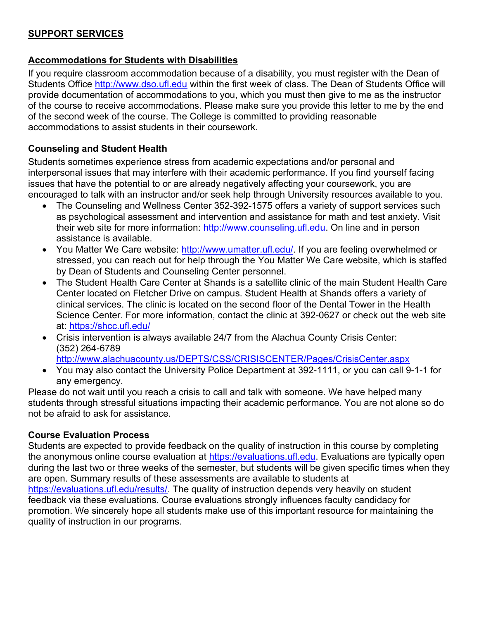## SUPPORT SERVICES

#### Accommodations for Students with Disabilities

If you require classroom accommodation because of a disability, you must register with the Dean of Students Office http://www.dso.ufl.edu within the first week of class. The Dean of Students Office will provide documentation of accommodations to you, which you must then give to me as the instructor of the course to receive accommodations. Please make sure you provide this letter to me by the end of the second week of the course. The College is committed to providing reasonable accommodations to assist students in their coursework.

#### Counseling and Student Health

Students sometimes experience stress from academic expectations and/or personal and interpersonal issues that may interfere with their academic performance. If you find yourself facing issues that have the potential to or are already negatively affecting your coursework, you are encouraged to talk with an instructor and/or seek help through University resources available to you.

- The Counseling and Wellness Center 352-392-1575 offers a variety of support services such as psychological assessment and intervention and assistance for math and test anxiety. Visit their web site for more information: http://www.counseling.ufl.edu. On line and in person assistance is available.
- You Matter We Care website: http://www.umatter.ufl.edu/. If you are feeling overwhelmed or stressed, you can reach out for help through the You Matter We Care website, which is staffed by Dean of Students and Counseling Center personnel.
- The Student Health Care Center at Shands is a satellite clinic of the main Student Health Care Center located on Fletcher Drive on campus. Student Health at Shands offers a variety of clinical services. The clinic is located on the second floor of the Dental Tower in the Health Science Center. For more information, contact the clinic at 392-0627 or check out the web site at: https://shcc.ufl.edu/
- Crisis intervention is always available 24/7 from the Alachua County Crisis Center: (352) 264-6789 http://www.alachuacounty.us/DEPTS/CSS/CRISISCENTER/Pages/CrisisCenter.aspx
- You may also contact the University Police Department at 392-1111, or you can call 9-1-1 for any emergency.

Please do not wait until you reach a crisis to call and talk with someone. We have helped many students through stressful situations impacting their academic performance. You are not alone so do not be afraid to ask for assistance.

#### Course Evaluation Process

Students are expected to provide feedback on the quality of instruction in this course by completing the anonymous online course evaluation at https://evaluations.ufl.edu. Evaluations are typically open during the last two or three weeks of the semester, but students will be given specific times when they are open. Summary results of these assessments are available to students at https://evaluations.ufl.edu/results/. The quality of instruction depends very heavily on student feedback via these evaluations. Course evaluations strongly influences faculty candidacy for promotion. We sincerely hope all students make use of this important resource for maintaining the quality of instruction in our programs.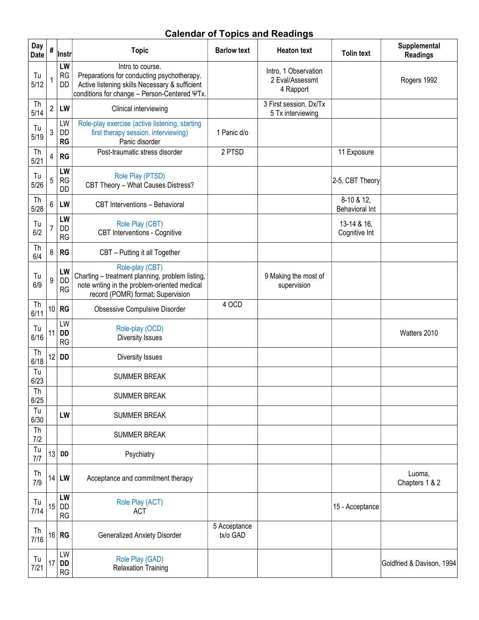## Calendar of Topics and Readings

| Day<br><b>Date</b> | #              | Instr                        | <b>Topic</b>                                                                                                                                                     | <b>Barlow text</b>       | <b>Heaton text</b>                                   | <b>Tolin text</b>            | Supplemental<br><b>Readings</b> |
|--------------------|----------------|------------------------------|------------------------------------------------------------------------------------------------------------------------------------------------------------------|--------------------------|------------------------------------------------------|------------------------------|---------------------------------|
| Tu<br>5/12         |                | LW<br>RG<br>DD               | Intro to course.<br>Preparations for conducting psychotherapy.<br>Active listening skills Necessary & sufficient<br>conditions for change - Person-Centered ΨTx. |                          | Intro, 1 Observation<br>2 Eval/Assessmt<br>4 Rapport |                              | Rogers 1992                     |
| Th<br>5/14         | $\overline{2}$ | LW                           | Clinical interviewing                                                                                                                                            |                          | 3 First session, Dx/Tx<br>5 Tx interviewing          |                              |                                 |
| Tu<br>5/19         | 3              | LW<br><b>DD</b><br><b>RG</b> | Role-play exercise (active listening, starting<br>first therapy session, interviewing)<br>Panic disorder                                                         | 1 Panic d/o              |                                                      |                              |                                 |
| Th<br>5/21         | 4              | <b>RG</b>                    | Post-traumatic stress disorder                                                                                                                                   | 2 PTSD                   |                                                      | 11 Exposure                  |                                 |
| Tu<br>5/26         | 5              | LW<br><b>RG</b><br><b>DD</b> | Role Play (PTSD)<br>CBT Theory - What Causes Distress?                                                                                                           |                          |                                                      | 2-5, CBT Theory              |                                 |
| Th<br>5/28         | 6              | LW                           | CBT Interventions - Behavioral                                                                                                                                   |                          |                                                      | 8-10 & 12,<br>Behavioral Int |                                 |
| Tu<br>6/2          | $\overline{7}$ | LW<br>DD<br><b>RG</b>        | Role Play (CBT)<br><b>CBT</b> Interventions - Cognitive                                                                                                          |                          |                                                      | 13-14 & 16.<br>Cognitive Int |                                 |
| Th<br>6/4          | 8              | <b>RG</b>                    | CBT - Putting it all Together                                                                                                                                    |                          |                                                      |                              |                                 |
| Tu<br>6/9          | 9              | LW<br><b>DD</b><br>RG        | Role-play (CBT)<br>Charting - treatment planning, problem listing,<br>note writing in the problem-oriented medical<br>record (POMR) format; Supervision          |                          | 9 Making the most of<br>supervision                  |                              |                                 |
| Th<br>6/11         | 10             | <b>RG</b>                    | <b>Obsessive Compulsive Disorder</b>                                                                                                                             | 4 OCD                    |                                                      |                              |                                 |
| Tu<br>6/16         | 11             | LW<br><b>DD</b><br><b>RG</b> | Role-play (OCD)<br>Diversity Issues                                                                                                                              |                          |                                                      |                              | Watters 2010                    |
| Th<br>6/18         | 12             | <b>DD</b>                    | Diversity Issues                                                                                                                                                 |                          |                                                      |                              |                                 |
| Tu<br>6/23         |                |                              | <b>SUMMER BREAK</b>                                                                                                                                              |                          |                                                      |                              |                                 |
| Th<br>6/25         |                |                              | <b>SUMMER BREAK</b>                                                                                                                                              |                          |                                                      |                              |                                 |
| Tu<br>6/30         |                | LW                           | <b>SUMMER BREAK</b>                                                                                                                                              |                          |                                                      |                              |                                 |
| Th<br>7/2          |                |                              | <b>SUMMER BREAK</b>                                                                                                                                              |                          |                                                      |                              |                                 |
| Tu<br>7/7          | 13             | <b>DD</b>                    | Psychiatry                                                                                                                                                       |                          |                                                      |                              |                                 |
| Th<br>7/9          | 14             | LW                           | Acceptance and commitment therapy                                                                                                                                |                          |                                                      |                              | Luoma,<br>Chapters 1 & 2        |
| Tu<br>7/14         | 15             | LW<br>DD<br><b>RG</b>        | Role Play (ACT)<br><b>ACT</b>                                                                                                                                    |                          |                                                      | 15 - Acceptance              |                                 |
| Th<br>7/16         | 16             | <b>RG</b>                    | <b>Generalized Anxiety Disorder</b>                                                                                                                              | 5 Acceptance<br>tx/o GAD |                                                      |                              |                                 |
| Tu<br>7/21         | 17             | LW<br><b>DD</b><br>RG        | Role Play (GAD)<br><b>Relaxation Training</b>                                                                                                                    |                          |                                                      |                              | Goldfried & Davison, 1994       |